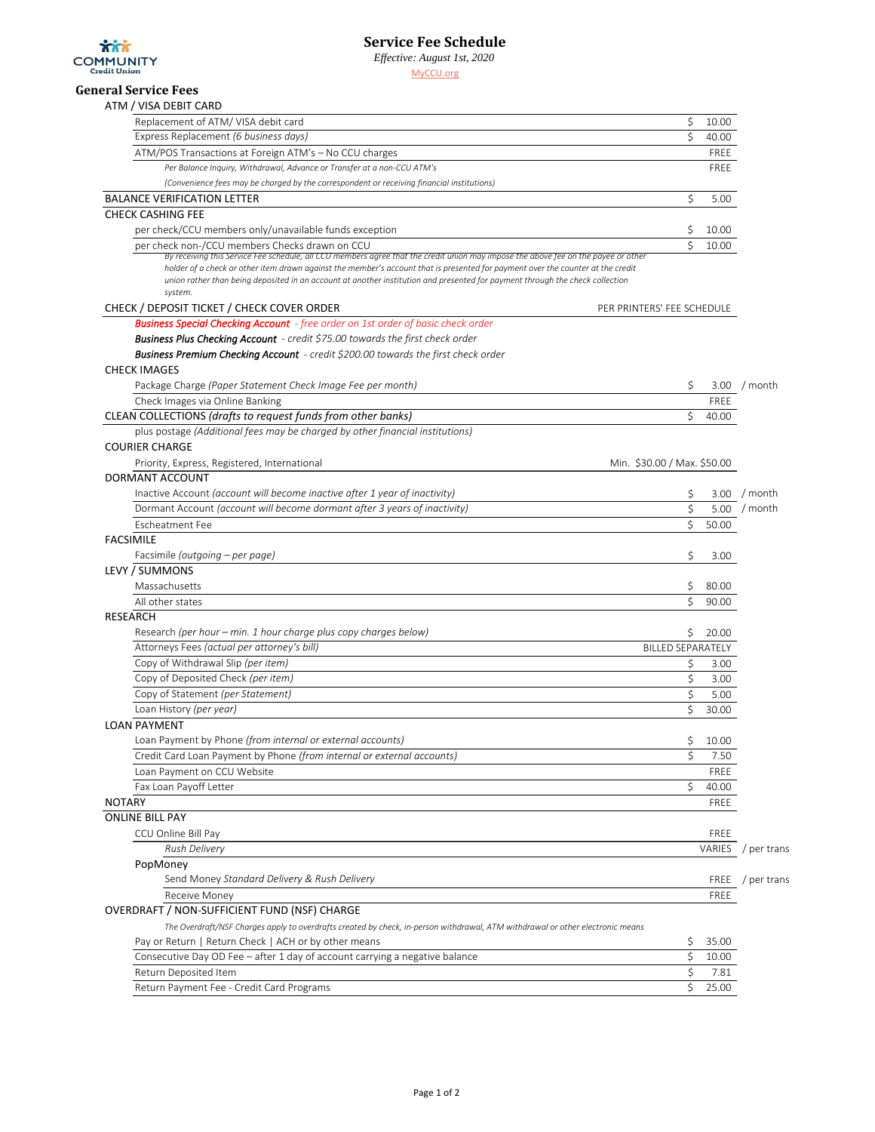

*Effective: August 1st, 2020*

[M](http://www.myccu.org/)yCCU.org

## **General Service Fees** ATM / VISA DEBIT CARD

| ATIVI / VISA DEDIT CARD                                                                                                                                                                                                                                                                                                                                                                                                                                             |                             |               |                    |
|---------------------------------------------------------------------------------------------------------------------------------------------------------------------------------------------------------------------------------------------------------------------------------------------------------------------------------------------------------------------------------------------------------------------------------------------------------------------|-----------------------------|---------------|--------------------|
| Replacement of ATM/VISA debit card                                                                                                                                                                                                                                                                                                                                                                                                                                  | \$                          | 10.00         |                    |
| Express Replacement (6 business days)                                                                                                                                                                                                                                                                                                                                                                                                                               | \$                          | 40.00         |                    |
| ATM/POS Transactions at Foreign ATM's - No CCU charges                                                                                                                                                                                                                                                                                                                                                                                                              |                             | FREE          |                    |
| Per Balance Inquiry, Withdrawal, Advance or Transfer at a non-CCU ATM's                                                                                                                                                                                                                                                                                                                                                                                             |                             | FREE          |                    |
| (Convenience fees may be charged by the correspondent or receiving financial institutions)                                                                                                                                                                                                                                                                                                                                                                          |                             |               |                    |
| <b>BALANCE VERIFICATION LETTER</b>                                                                                                                                                                                                                                                                                                                                                                                                                                  | \$                          | 5.00          |                    |
| <b>CHECK CASHING FEE</b>                                                                                                                                                                                                                                                                                                                                                                                                                                            |                             |               |                    |
| per check/CCU members only/unavailable funds exception                                                                                                                                                                                                                                                                                                                                                                                                              | Ş                           | 10.00         |                    |
| per check non-/CCU members Checks drawn on CCU<br>By receiving this Service Fee schedule, all CCU members agree that the credit union may impose the above fee on the payee or other<br>holder of a check or other item drawn against the member's account that is presented for payment over the counter at the credit<br>union rather than being deposited in an account at another institution and presented for payment through the check collection<br>system. | Ś                           | 10.00         |                    |
| CHECK / DEPOSIT TICKET / CHECK COVER ORDER                                                                                                                                                                                                                                                                                                                                                                                                                          | PER PRINTERS' FEE SCHEDULE  |               |                    |
| <b>Business Special Checking Account</b> - free order on 1st order of basic check order                                                                                                                                                                                                                                                                                                                                                                             |                             |               |                    |
| <b>Business Plus Checking Account</b> - credit \$75.00 towards the first check order                                                                                                                                                                                                                                                                                                                                                                                |                             |               |                    |
| <b>Business Premium Checking Account</b> - credit \$200.00 towards the first check order                                                                                                                                                                                                                                                                                                                                                                            |                             |               |                    |
| <b>CHECK IMAGES</b>                                                                                                                                                                                                                                                                                                                                                                                                                                                 |                             |               |                    |
| Package Charge (Paper Statement Check Image Fee per month)                                                                                                                                                                                                                                                                                                                                                                                                          | \$                          |               | 3.00 / month       |
| Check Images via Online Banking                                                                                                                                                                                                                                                                                                                                                                                                                                     |                             | FREE          |                    |
| CLEAN COLLECTIONS (drafts to request funds from other banks)                                                                                                                                                                                                                                                                                                                                                                                                        | \$                          | 40.00         |                    |
| plus postage (Additional fees may be charged by other financial institutions)                                                                                                                                                                                                                                                                                                                                                                                       |                             |               |                    |
| <b>COURIER CHARGE</b>                                                                                                                                                                                                                                                                                                                                                                                                                                               |                             |               |                    |
| Priority, Express, Registered, International                                                                                                                                                                                                                                                                                                                                                                                                                        | Min. \$30.00 / Max. \$50.00 |               |                    |
| DORMANT ACCOUNT                                                                                                                                                                                                                                                                                                                                                                                                                                                     |                             |               |                    |
| Inactive Account (account will become inactive after 1 year of inactivity)                                                                                                                                                                                                                                                                                                                                                                                          | Ş                           |               | 3.00 / month       |
| Dormant Account (account will become dormant after 3 years of inactivity)                                                                                                                                                                                                                                                                                                                                                                                           | \$                          |               | 5.00 / month       |
| Escheatment Fee                                                                                                                                                                                                                                                                                                                                                                                                                                                     | \$                          | 50.00         |                    |
| <b>FACSIMILE</b>                                                                                                                                                                                                                                                                                                                                                                                                                                                    |                             |               |                    |
| Facsimile (outgoing – per page)                                                                                                                                                                                                                                                                                                                                                                                                                                     | \$                          | 3.00          |                    |
| LEVY / SUMMONS                                                                                                                                                                                                                                                                                                                                                                                                                                                      |                             |               |                    |
| Massachusetts                                                                                                                                                                                                                                                                                                                                                                                                                                                       | \$                          | 80.00         |                    |
| All other states                                                                                                                                                                                                                                                                                                                                                                                                                                                    | Ś                           | 90.00         |                    |
| <b>RESEARCH</b>                                                                                                                                                                                                                                                                                                                                                                                                                                                     |                             |               |                    |
| Research (per hour - min. 1 hour charge plus copy charges below)                                                                                                                                                                                                                                                                                                                                                                                                    | \$                          | 20.00         |                    |
| Attorneys Fees (actual per attorney's bill)                                                                                                                                                                                                                                                                                                                                                                                                                         | <b>BILLED SEPARATELY</b>    |               |                    |
| Copy of Withdrawal Slip (per item)                                                                                                                                                                                                                                                                                                                                                                                                                                  | \$                          | 3.00          |                    |
| Copy of Deposited Check (per item)                                                                                                                                                                                                                                                                                                                                                                                                                                  | \$                          | 3.00          |                    |
| Copy of Statement (per Statement)                                                                                                                                                                                                                                                                                                                                                                                                                                   | \$                          | 5.00          |                    |
| Loan History (per year)                                                                                                                                                                                                                                                                                                                                                                                                                                             | \$                          | 30.00         |                    |
| <b>LOAN PAYMENT</b>                                                                                                                                                                                                                                                                                                                                                                                                                                                 |                             |               |                    |
| Loan Payment by Phone (from internal or external accounts)<br>Credit Card Loan Payment by Phone (from internal or external accounts)                                                                                                                                                                                                                                                                                                                                | \$                          | 10.00         |                    |
|                                                                                                                                                                                                                                                                                                                                                                                                                                                                     | \$                          | 7.50          |                    |
| Loan Payment on CCU Website<br>Fax Loan Payoff Letter                                                                                                                                                                                                                                                                                                                                                                                                               | \$                          | FREE          |                    |
| <b>NOTARY</b>                                                                                                                                                                                                                                                                                                                                                                                                                                                       |                             | 40.00<br>FREE |                    |
| <b>ONLINE BILL PAY</b>                                                                                                                                                                                                                                                                                                                                                                                                                                              |                             |               |                    |
| CCU Online Bill Pay                                                                                                                                                                                                                                                                                                                                                                                                                                                 |                             | FREE          |                    |
| <b>Rush Delivery</b>                                                                                                                                                                                                                                                                                                                                                                                                                                                |                             | VARIES        | / per trans        |
| PopMoney                                                                                                                                                                                                                                                                                                                                                                                                                                                            |                             |               |                    |
| Send Money Standard Delivery & Rush Delivery                                                                                                                                                                                                                                                                                                                                                                                                                        |                             |               | $FREE$ / per trans |
| Receive Money                                                                                                                                                                                                                                                                                                                                                                                                                                                       |                             | FREE          |                    |
| OVERDRAFT / NON-SUFFICIENT FUND (NSF) CHARGE                                                                                                                                                                                                                                                                                                                                                                                                                        |                             |               |                    |
| The Overdraft/NSF Charges apply to overdrafts created by check, in-person withdrawal, ATM withdrawal or other electronic means                                                                                                                                                                                                                                                                                                                                      |                             |               |                    |
| Pay or Return   Return Check   ACH or by other means                                                                                                                                                                                                                                                                                                                                                                                                                | Ş                           | 35.00         |                    |
| Consecutive Day OD Fee - after 1 day of account carrying a negative balance                                                                                                                                                                                                                                                                                                                                                                                         | \$                          | 10.00         |                    |
| Return Deposited Item                                                                                                                                                                                                                                                                                                                                                                                                                                               | \$                          | 7.81          |                    |
| Return Payment Fee - Credit Card Programs                                                                                                                                                                                                                                                                                                                                                                                                                           | \$                          | 25.00         |                    |
|                                                                                                                                                                                                                                                                                                                                                                                                                                                                     |                             |               |                    |